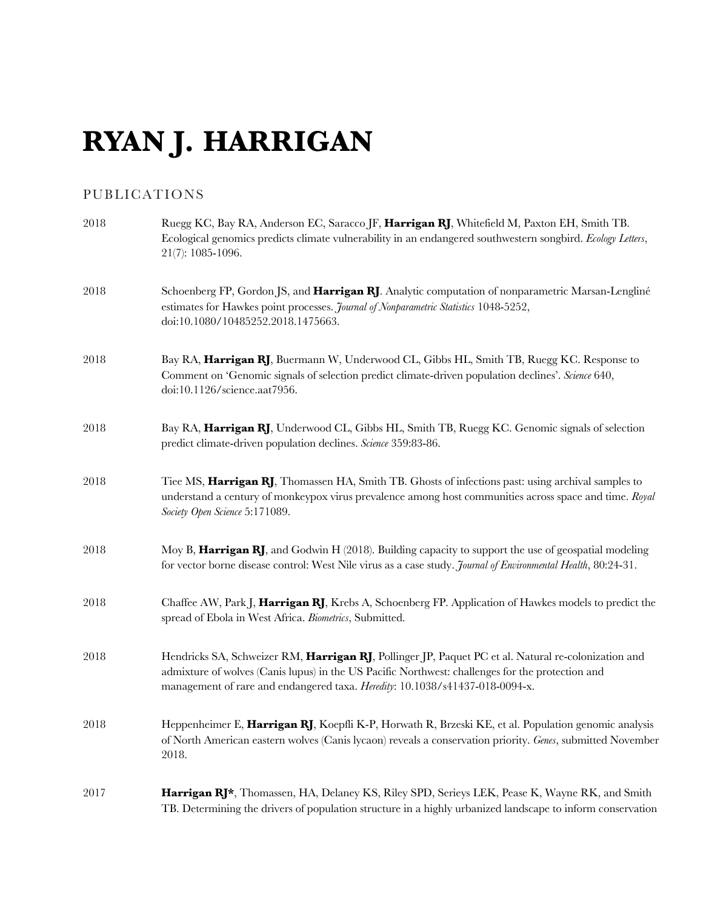# **RYAN J. HARRIGAN**

## PUBLICATIONS

| 2018 | Ruegg KC, Bay RA, Anderson EC, Saracco JF, Harrigan RJ, Whitefield M, Paxton EH, Smith TB.<br>Ecological genomics predicts climate vulnerability in an endangered southwestern songbird. Ecology Letters,<br>21(7): 1085-1096.                                                          |
|------|-----------------------------------------------------------------------------------------------------------------------------------------------------------------------------------------------------------------------------------------------------------------------------------------|
| 2018 | Schoenberg FP, Gordon JS, and Harrigan RJ. Analytic computation of nonparametric Marsan-Lengliné<br>estimates for Hawkes point processes. Journal of Nonparametric Statistics 1048-5252,<br>doi:10.1080/10485252.2018.1475663.                                                          |
| 2018 | Bay RA, Harrigan RJ, Buermann W, Underwood CL, Gibbs HL, Smith TB, Ruegg KC. Response to<br>Comment on 'Genomic signals of selection predict climate-driven population declines'. Science 640,<br>doi:10.1126/science.aat7956.                                                          |
| 2018 | Bay RA, Harrigan RJ, Underwood CL, Gibbs HL, Smith TB, Ruegg KC. Genomic signals of selection<br>predict climate-driven population declines. Science 359:83-86.                                                                                                                         |
| 2018 | Tiee MS, Harrigan RJ, Thomassen HA, Smith TB. Ghosts of infections past: using archival samples to<br>understand a century of monkeypox virus prevalence among host communities across space and time. Royal<br>Society Open Science 5:171089.                                          |
| 2018 | Moy B, Harrigan RJ, and Godwin H (2018). Building capacity to support the use of geospatial modeling<br>for vector borne disease control: West Nile virus as a case study. Journal of Environmental Health, 80:24-31.                                                                   |
| 2018 | Chaffee AW, Park J, Harrigan RJ, Krebs A, Schoenberg FP. Application of Hawkes models to predict the<br>spread of Ebola in West Africa. Biometrics, Submitted.                                                                                                                          |
| 2018 | Hendricks SA, Schweizer RM, Harrigan RJ, Pollinger JP, Paquet PC et al. Natural re-colonization and<br>admixture of wolves (Canis lupus) in the US Pacific Northwest: challenges for the protection and<br>management of rare and endangered taxa. Heredity: 10.1038/s41437-018-0094-x. |
| 2018 | Heppenheimer E, Harrigan RJ, Koepfli K-P, Horwath R, Brzeski KE, et al. Population genomic analysis<br>of North American eastern wolves (Canis lycaon) reveals a conservation priority. Genes, submitted November<br>2018.                                                              |
| 2017 | Harrigan RJ*, Thomassen, HA, Delaney KS, Riley SPD, Serieys LEK, Pease K, Wayne RK, and Smith<br>TB. Determining the drivers of population structure in a highly urbanized landscape to inform conservation                                                                             |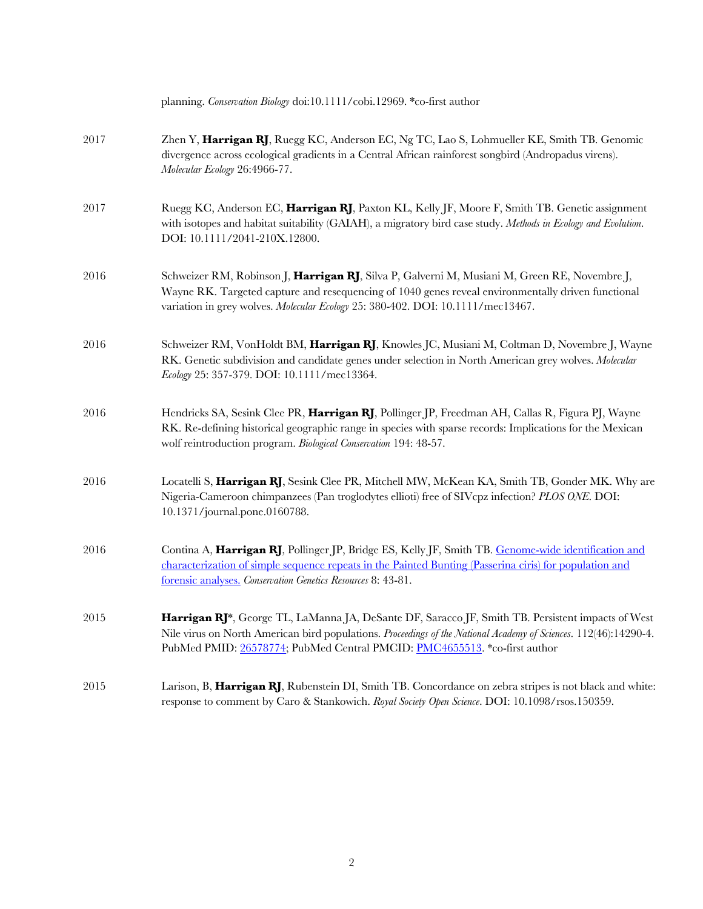|      | planning. Conservation Biology doi:10.1111/cobi.12969. *co-first author                                                                                                                                                                                                                            |
|------|----------------------------------------------------------------------------------------------------------------------------------------------------------------------------------------------------------------------------------------------------------------------------------------------------|
| 2017 | Zhen Y, Harrigan RJ, Ruegg KC, Anderson EC, Ng TC, Lao S, Lohmueller KE, Smith TB. Genomic<br>divergence across ecological gradients in a Central African rainforest songbird (Andropadus virens).<br>Molecular Ecology 26:4966-77.                                                                |
| 2017 | Ruegg KC, Anderson EC, Harrigan RJ, Paxton KL, Kelly JF, Moore F, Smith TB. Genetic assignment<br>with isotopes and habitat suitability (GAIAH), a migratory bird case study. Methods in Ecology and Evolution.<br>DOI: 10.1111/2041-210X.12800.                                                   |
| 2016 | Schweizer RM, Robinson J, Harrigan RJ, Silva P, Galverni M, Musiani M, Green RE, Novembre J,<br>Wayne RK. Targeted capture and resequencing of 1040 genes reveal environmentally driven functional<br>variation in grey wolves. Molecular Ecology 25: 380-402. DOI: 10.1111/mec13467.              |
| 2016 | Schweizer RM, VonHoldt BM, Harrigan RJ, Knowles JC, Musiani M, Coltman D, Novembre J, Wayne<br>RK. Genetic subdivision and candidate genes under selection in North American grey wolves. Molecular<br>Ecology 25: 357-379. DOI: 10.1111/mec13364.                                                 |
| 2016 | Hendricks SA, Sesink Clee PR, Harrigan RJ, Pollinger JP, Freedman AH, Callas R, Figura PJ, Wayne<br>RK. Re-defining historical geographic range in species with sparse records: Implications for the Mexican<br>wolf reintroduction program. Biological Conservation 194: 48-57.                   |
| 2016 | Locatelli S, Harrigan RJ, Sesink Clee PR, Mitchell MW, McKean KA, Smith TB, Gonder MK. Why are<br>Nigeria-Cameroon chimpanzees (Pan troglodytes ellioti) free of SIVcpz infection? PLOS ONE. DOI:<br>10.1371/journal.pone.0160788.                                                                 |
| 2016 | Contina A, Harrigan RJ, Pollinger JP, Bridge ES, Kelly JF, Smith TB. Genome-wide identification and<br>characterization of simple sequence repeats in the Painted Bunting (Passerina ciris) for population and<br>forensic analyses. Conservation Genetics Resources 8: 43-81.                     |
| 2015 | Harrigan RJ*, George TL, LaManna JA, DeSante DF, Saracco JF, Smith TB. Persistent impacts of West<br>Nile virus on North American bird populations. Proceedings of the National Academy of Sciences. 112(46):14290-4.<br>PubMed PMID: 26578774; PubMed Central PMCID: PMC4655513. *co-first author |
| 2015 | Larison, B, Harrigan RJ, Rubenstein DI, Smith TB. Concordance on zebra stripes is not black and white:<br>response to comment by Caro & Stankowich. Royal Society Open Science. DOI: 10.1098/rsos.150359.                                                                                          |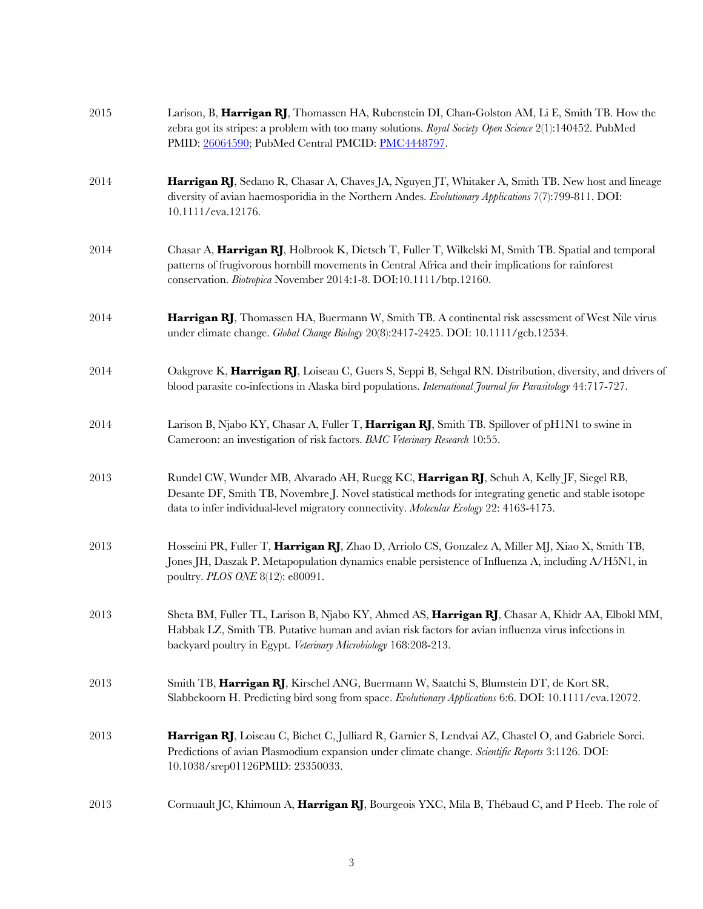| 2015 | Larison, B, Harrigan RJ, Thomassen HA, Rubenstein DI, Chan-Golston AM, Li E, Smith TB. How the<br>zebra got its stripes: a problem with too many solutions. Royal Society Open Science 2(1):140452. PubMed<br>PMID: 26064590; PubMed Central PMCID: PMC4448797.                              |
|------|----------------------------------------------------------------------------------------------------------------------------------------------------------------------------------------------------------------------------------------------------------------------------------------------|
| 2014 | Harrigan RJ, Sedano R, Chasar A, Chaves JA, Nguyen JT, Whitaker A, Smith TB. New host and lineage<br>diversity of avian haemosporidia in the Northern Andes. Evolutionary Applications 7(7):799-811. DOI:<br>10.1111/eva.12176.                                                              |
| 2014 | Chasar A, Harrigan RJ, Holbrook K, Dietsch T, Fuller T, Wilkelski M, Smith TB. Spatial and temporal<br>patterns of frugivorous hornbill movements in Central Africa and their implications for rainforest<br>conservation. Biotropica November 2014:1-8. DOI:10.1111/btp.12160.              |
| 2014 | Harrigan RJ, Thomassen HA, Buermann W, Smith TB. A continental risk assessment of West Nile virus<br>under climate change. Global Change Biology 20(8):2417-2425. DOI: 10.1111/gcb.12534.                                                                                                    |
| 2014 | Oakgrove K, Harrigan RJ, Loiseau C, Guers S, Seppi B, Sehgal RN. Distribution, diversity, and drivers of<br>blood parasite co-infections in Alaska bird populations. International Journal for Parasitology 44:717-727.                                                                      |
| 2014 | Larison B, Njabo KY, Chasar A, Fuller T, Harrigan RJ, Smith TB. Spillover of pH1N1 to swine in<br>Cameroon: an investigation of risk factors. BMC Veterinary Research 10:55.                                                                                                                 |
| 2013 | Rundel CW, Wunder MB, Alvarado AH, Ruegg KC, Harrigan RJ, Schuh A, Kelly JF, Siegel RB,<br>Desante DF, Smith TB, Novembre J. Novel statistical methods for integrating genetic and stable isotope<br>data to infer individual-level migratory connectivity. Molecular Ecology 22: 4163-4175. |
| 2013 | Hosseini PR, Fuller T, Harrigan RJ, Zhao D, Arriolo CS, Gonzalez A, Miller MJ, Xiao X, Smith TB,<br>Jones JH, Daszak P. Metapopulation dynamics enable persistence of Influenza A, including A/H5N1, in<br>poultry. PLOS ONE 8(12): e80091.                                                  |
| 2013 | Sheta BM, Fuller TL, Larison B, Njabo KY, Ahmed AS, Harrigan RJ, Chasar A, Khidr AA, Elbokl MM,<br>Habbak LZ, Smith TB. Putative human and avian risk factors for avian influenza virus infections in<br>backyard poultry in Egypt. Veterinary Microbiology 168:208-213.                     |
| 2013 | Smith TB, Harrigan RJ, Kirschel ANG, Buermann W, Saatchi S, Blumstein DT, de Kort SR,<br>Slabbekoorn H. Predicting bird song from space. Evolutionary Applications 6:6. DOI: 10.1111/eva.12072.                                                                                              |
| 2013 | Harrigan RJ, Loiseau C, Bichet C, Julliard R, Garnier S, Lendvai AZ, Chastel O, and Gabriele Sorci.<br>Predictions of avian Plasmodium expansion under climate change. Scientific Reports 3:1126. DOI:<br>10.1038/srep01126PMID: 23350033.                                                   |
| 2013 | Cornuault JC, Khimoun A, Harrigan RJ, Bourgeois YXC, Mila B, Thébaud C, and P Heeb. The role of                                                                                                                                                                                              |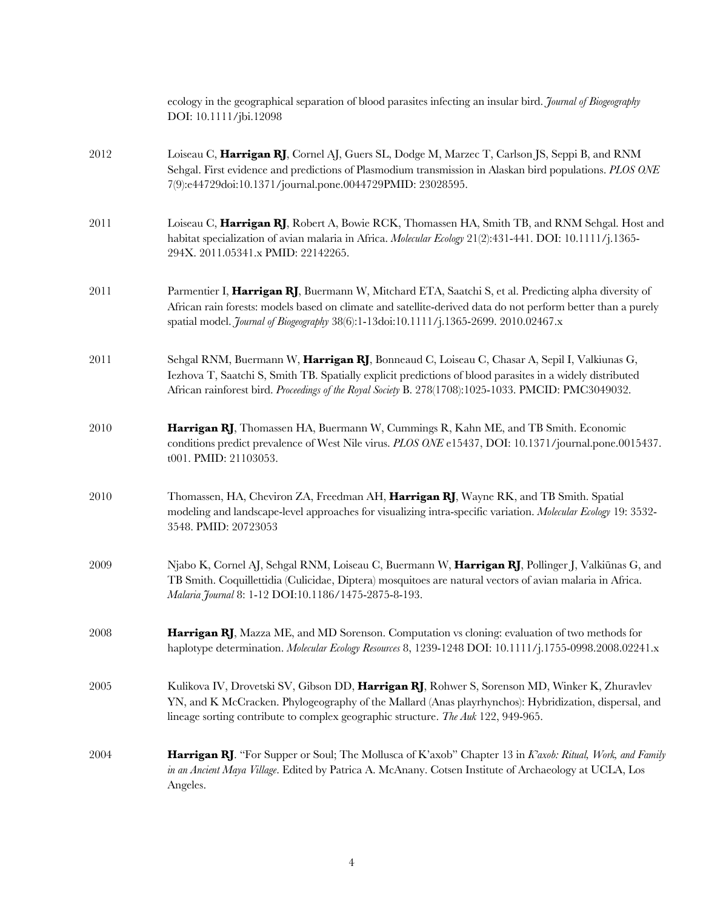|      | ecology in the geographical separation of blood parasites infecting an insular bird. Journal of Biogeography<br>DOI: 10.1111/jbi.12098                                                                                                                                                                                |
|------|-----------------------------------------------------------------------------------------------------------------------------------------------------------------------------------------------------------------------------------------------------------------------------------------------------------------------|
| 2012 | Loiseau C, Harrigan RJ, Cornel AJ, Guers SL, Dodge M, Marzec T, Carlson JS, Seppi B, and RNM<br>Sehgal. First evidence and predictions of Plasmodium transmission in Alaskan bird populations. PLOS ONE<br>7(9):e44729doi:10.1371/journal.pone.0044729PMID: 23028595.                                                 |
| 2011 | Loiseau C, Harrigan RJ, Robert A, Bowie RCK, Thomassen HA, Smith TB, and RNM Sehgal. Host and<br>habitat specialization of avian malaria in Africa. Molecular Ecology 21(2):431-441. DOI: 10.1111/j.1365-<br>294X. 2011.05341.x PMID: 22142265.                                                                       |
| 2011 | Parmentier I, Harrigan RJ, Buermann W, Mitchard ETA, Saatchi S, et al. Predicting alpha diversity of<br>African rain forests: models based on climate and satellite-derived data do not perform better than a purely<br>spatial model. <i>Journal of Biogeography</i> 38(6):1-13doi:10.1111/j.1365-2699. 2010.02467.x |
| 2011 | Sehgal RNM, Buermann W, Harrigan RJ, Bonneaud C, Loiseau C, Chasar A, Sepil I, Valkiunas G,<br>Iezhova T, Saatchi S, Smith TB. Spatially explicit predictions of blood parasites in a widely distributed<br>African rainforest bird. Proceedings of the Royal Society B. 278(1708):1025-1033. PMCID: PMC3049032.      |
| 2010 | Harrigan RJ, Thomassen HA, Buermann W, Cummings R, Kahn ME, and TB Smith. Economic<br>conditions predict prevalence of West Nile virus. PLOS ONE e15437, DOI: 10.1371/journal.pone.0015437.<br>t001. PMID: 21103053.                                                                                                  |
| 2010 | Thomassen, HA, Cheviron ZA, Freedman AH, Harrigan RJ, Wayne RK, and TB Smith. Spatial<br>modeling and landscape-level approaches for visualizing intra-specific variation. Molecular Ecology 19: 3532-<br>3548. PMID: 20723053                                                                                        |
| 2009 | Njabo K, Cornel AJ, Sehgal RNM, Loiseau C, Buermann W, Harrigan RJ, Pollinger J, Valkiūnas G, and<br>TB Smith. Coquillettidia (Culicidae, Diptera) mosquitoes are natural vectors of avian malaria in Africa.<br>Malaria Journal 8: 1-12 DOI:10.1186/1475-2875-8-193.                                                 |
| 2008 | Harrigan RJ, Mazza ME, and MD Sorenson. Computation vs cloning: evaluation of two methods for<br>haplotype determination. Molecular Ecology Resources 8, 1239-1248 DOI: 10.1111/j.1755-0998.2008.02241.x                                                                                                              |
| 2005 | Kulikova IV, Drovetski SV, Gibson DD, Harrigan RJ, Rohwer S, Sorenson MD, Winker K, Zhuravlev<br>YN, and K McCracken. Phylogeography of the Mallard (Anas playrhynchos): Hybridization, dispersal, and<br>lineage sorting contribute to complex geographic structure. The Auk 122, 949-965.                           |
| 2004 | Harrigan RJ. "For Supper or Soul; The Mollusca of K'axob" Chapter 13 in Kaxob: Ritual, Work, and Family<br>in an Ancient Maya Village. Edited by Patrica A. McAnany. Cotsen Institute of Archaeology at UCLA, Los<br>Angeles.                                                                                         |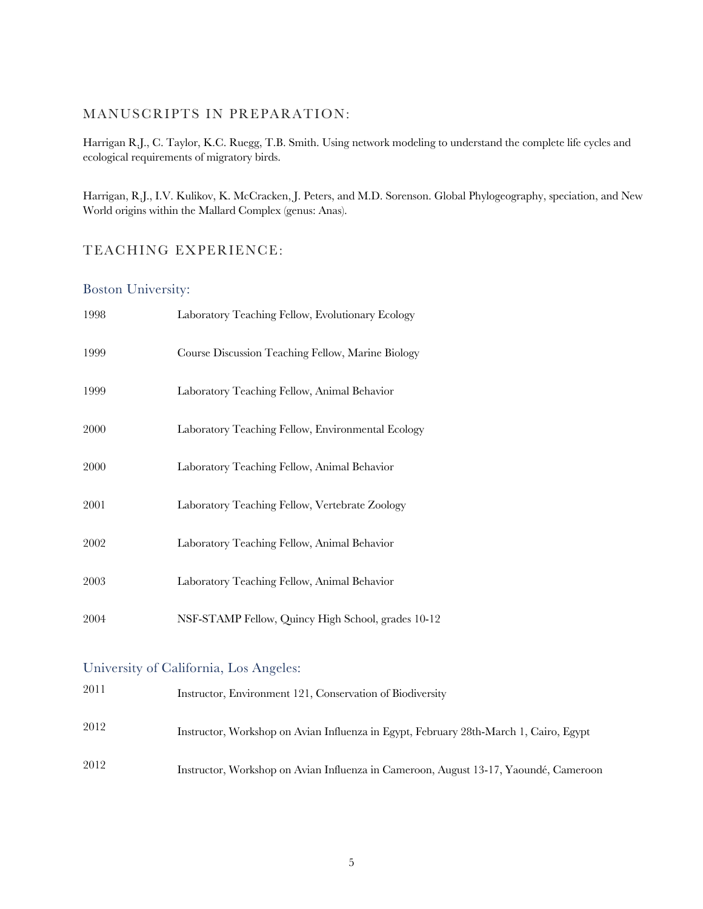### MANUSCRIPTS IN PREPARATION:

Harrigan R.J., C. Taylor, K.C. Ruegg, T.B. Smith. Using network modeling to understand the complete life cycles and ecological requirements of migratory birds.

Harrigan, R.J., I.V. Kulikov, K. McCracken, J. Peters, and M.D. Sorenson. Global Phylogeography, speciation, and New World origins within the Mallard Complex (genus: Anas).

#### TEACHING EXPERIENCE:

#### Boston University:

| 1998 | Laboratory Teaching Fellow, Evolutionary Ecology   |
|------|----------------------------------------------------|
| 1999 | Course Discussion Teaching Fellow, Marine Biology  |
| 1999 | Laboratory Teaching Fellow, Animal Behavior        |
| 2000 | Laboratory Teaching Fellow, Environmental Ecology  |
| 2000 | Laboratory Teaching Fellow, Animal Behavior        |
| 2001 | Laboratory Teaching Fellow, Vertebrate Zoology     |
| 2002 | Laboratory Teaching Fellow, Animal Behavior        |
| 2003 | Laboratory Teaching Fellow, Animal Behavior        |
| 2004 | NSF-STAMP Fellow, Quincy High School, grades 10-12 |

## University of California, Los Angeles:

| 2011 | Instructor, Environment 121, Conservation of Biodiversity                             |
|------|---------------------------------------------------------------------------------------|
| 2012 | Instructor, Workshop on Avian Influenza in Egypt, February 28th-March 1, Cairo, Egypt |
| 2012 | Instructor, Workshop on Avian Influenza in Cameroon, August 13-17, Yaoundé, Cameroon  |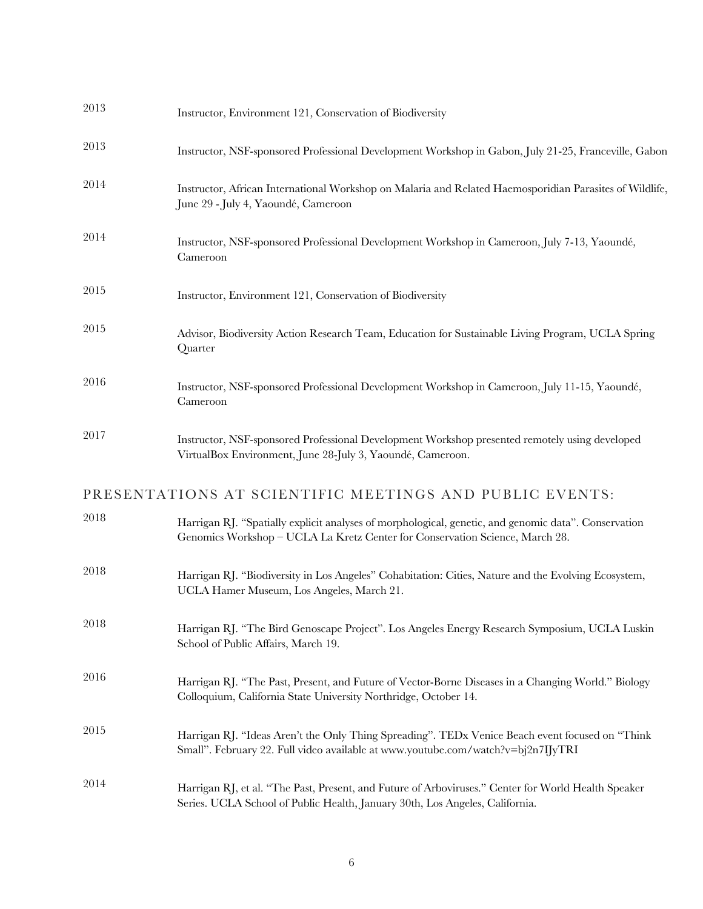| 2013 | Instructor, Environment 121, Conservation of Biodiversity                                                                                                                            |
|------|--------------------------------------------------------------------------------------------------------------------------------------------------------------------------------------|
| 2013 | Instructor, NSF-sponsored Professional Development Workshop in Gabon, July 21-25, Franceville, Gabon                                                                                 |
| 2014 | Instructor, African International Workshop on Malaria and Related Haemosporidian Parasites of Wildlife,<br>June 29 - July 4, Yaoundé, Cameroon                                       |
| 2014 | Instructor, NSF-sponsored Professional Development Workshop in Cameroon, July 7-13, Yaoundé,<br>Cameroon                                                                             |
| 2015 | Instructor, Environment 121, Conservation of Biodiversity                                                                                                                            |
| 2015 | Advisor, Biodiversity Action Research Team, Education for Sustainable Living Program, UCLA Spring<br>Quarter                                                                         |
| 2016 | Instructor, NSF-sponsored Professional Development Workshop in Cameroon, July 11-15, Yaoundé,<br>Cameroon                                                                            |
| 2017 | Instructor, NSF-sponsored Professional Development Workshop presented remotely using developed<br>VirtualBox Environment, June 28-July 3, Yaoundé, Cameroon.                         |
|      | PRESENTATIONS AT SCIENTIFIC MEETINGS AND PUBLIC EVENTS:                                                                                                                              |
| 2018 | Harrigan RJ. "Spatially explicit analyses of morphological, genetic, and genomic data". Conservation<br>Genomics Workshop - UCLA La Kretz Center for Conservation Science, March 28. |
| 2018 | Harrigan RJ. "Biodiversity in Los Angeles" Cohabitation: Cities, Nature and the Evolving Ecosystem,<br>UCLA Hamer Museum, Los Angeles, March 21.                                     |
| 2018 | Harrigan RJ. "The Bird Genoscape Project". Los Angeles Energy Research Symposium, UCLA Luskin<br>School of Public Affairs, March 19.                                                 |
| 2016 | Harrigan RJ. "The Past, Present, and Future of Vector-Borne Diseases in a Changing World." Biology<br>Colloquium, California State University Northridge, October 14.                |
| 2015 | Harrigan RJ. "Ideas Aren't the Only Thing Spreading". TEDx Venice Beach event focused on "Think"<br>Small". February 22. Full video available at www.youtube.com/watch?v=bj2n7IJyTRI |
| 2014 | Harrigan RJ, et al. "The Past, Present, and Future of Arboviruses." Center for World Health Speaker<br>Series. UCLA School of Public Health, January 30th, Los Angeles, California.  |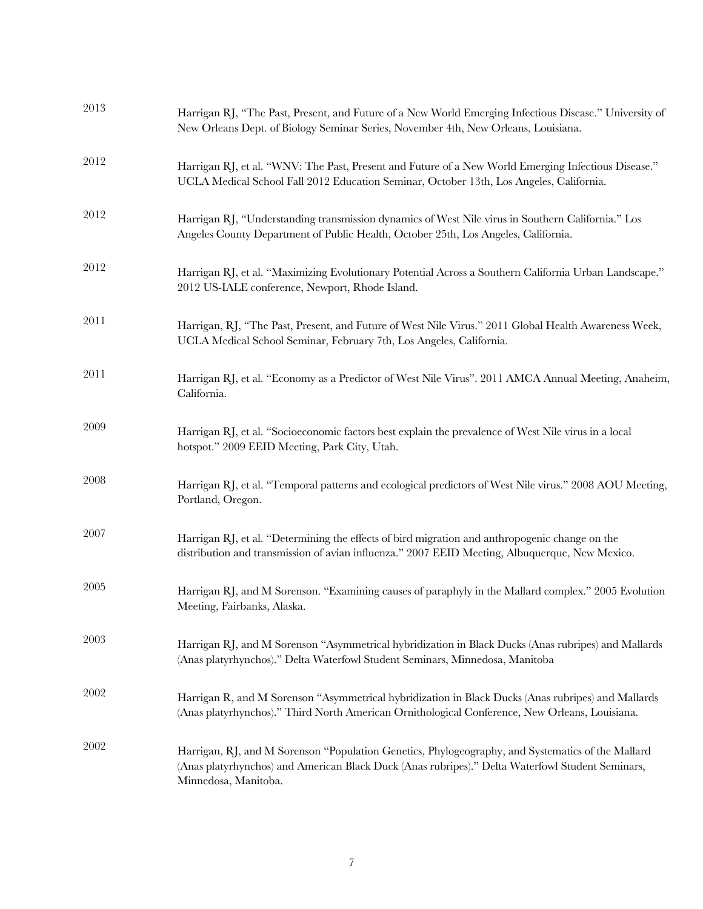| 2013 | Harrigan RJ, "The Past, Present, and Future of a New World Emerging Infectious Disease." University of<br>New Orleans Dept. of Biology Seminar Series, November 4th, New Orleans, Louisiana.                                  |
|------|-------------------------------------------------------------------------------------------------------------------------------------------------------------------------------------------------------------------------------|
| 2012 | Harrigan RJ, et al. "WNV: The Past, Present and Future of a New World Emerging Infectious Disease."<br>UCLA Medical School Fall 2012 Education Seminar, October 13th, Los Angeles, California.                                |
| 2012 | Harrigan RJ, "Understanding transmission dynamics of West Nile virus in Southern California." Los<br>Angeles County Department of Public Health, October 25th, Los Angeles, California.                                       |
| 2012 | Harrigan RJ, et al. "Maximizing Evolutionary Potential Across a Southern California Urban Landscape."<br>2012 US-IALE conference, Newport, Rhode Island.                                                                      |
| 2011 | Harrigan, RJ, "The Past, Present, and Future of West Nile Virus." 2011 Global Health Awareness Week,<br>UCLA Medical School Seminar, February 7th, Los Angeles, California.                                                   |
| 2011 | Harrigan RJ, et al. "Economy as a Predictor of West Nile Virus". 2011 AMCA Annual Meeting, Anaheim,<br>California.                                                                                                            |
| 2009 | Harrigan RJ, et al. "Socioeconomic factors best explain the prevalence of West Nile virus in a local<br>hotspot." 2009 EEID Meeting, Park City, Utah.                                                                         |
| 2008 | Harrigan RJ, et al. "Temporal patterns and ecological predictors of West Nile virus." 2008 AOU Meeting,<br>Portland, Oregon.                                                                                                  |
| 2007 | Harrigan RJ, et al. "Determining the effects of bird migration and anthropogenic change on the<br>distribution and transmission of avian influenza." 2007 EEID Meeting, Albuquerque, New Mexico.                              |
| 2005 | Harrigan RJ, and M Sorenson. "Examining causes of paraphyly in the Mallard complex." 2005 Evolution<br>Meeting, Fairbanks, Alaska.                                                                                            |
| 2003 | Harrigan RJ, and M Sorenson "Asymmetrical hybridization in Black Ducks (Anas rubripes) and Mallards<br>(Anas platyrhynchos)." Delta Waterfowl Student Seminars, Minnedosa, Manitoba                                           |
| 2002 | Harrigan R, and M Sorenson "Asymmetrical hybridization in Black Ducks (Anas rubripes) and Mallards<br>(Anas platyrhynchos)." Third North American Ornithological Conference, New Orleans, Louisiana.                          |
| 2002 | Harrigan, RJ, and M Sorenson "Population Genetics, Phylogeography, and Systematics of the Mallard<br>(Anas platyrhynchos) and American Black Duck (Anas rubripes)." Delta Waterfowl Student Seminars,<br>Minnedosa, Manitoba. |